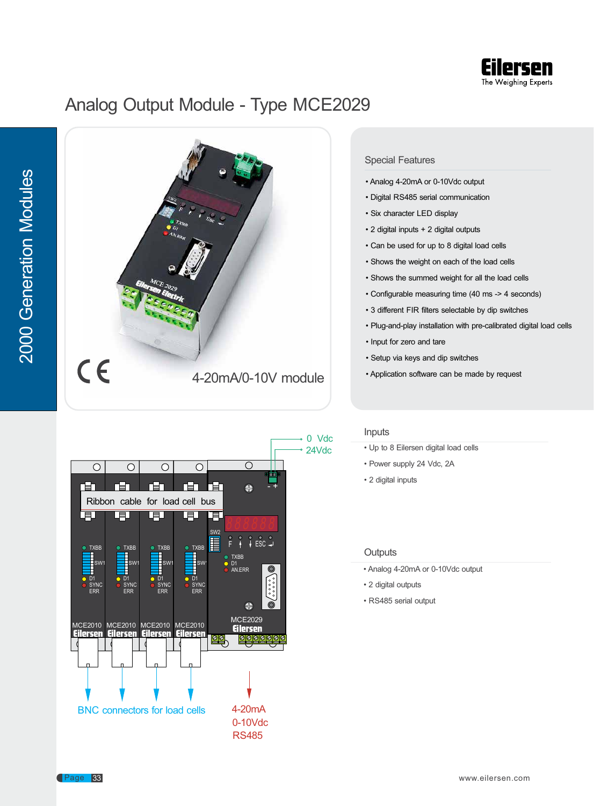

# Analog Output Module - Type MCE2029





#### Special Features

- Analog 4-20mA or 0-10Vdc output
- Digital RS485 serial communication
- Six character LED display
- 2 digital inputs + 2 digital outputs
- Can be used for up to 8 digital load cells
- Shows the weight on each of the load cells
- Shows the summed weight for all the load cells
- Configurable measuring time (40 ms -> 4 seconds)
- 3 different FIR filters selectable by dip switches
- Plug-and-play installation with pre-calibrated digital load cells
- Input for zero and tare
- Setup via keys and dip switches
- Application software can be made by request

#### Inputs

- Up to 8 Eilersen digital load cells
- Power supply 24 Vdc, 2A
- 2 digital inputs

#### **Outputs**

- Analog 4-20mA or 0-10Vdc output
- 2 digital outputs
- RS485 serial output